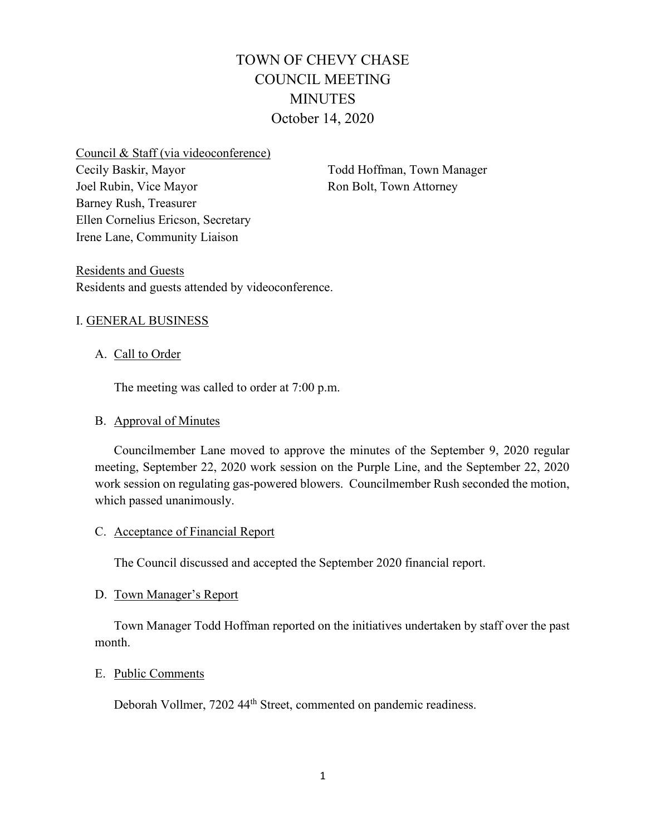# TOWN OF CHEVY CHASE COUNCIL MEETING MINUTES October 14, 2020

Council & Staff (via videoconference) Cecily Baskir, Mayor Joel Rubin, Vice Mayor Barney Rush, Treasurer Ellen Cornelius Ericson, Secretary Irene Lane, Community Liaison

Todd Hoffman, Town Manager Ron Bolt, Town Attorney

Residents and Guests Residents and guests attended by videoconference.

## I. GENERAL BUSINESS

## A. Call to Order

The meeting was called to order at 7:00 p.m.

# B. Approval of Minutes

Councilmember Lane moved to approve the minutes of the September 9, 2020 regular meeting, September 22, 2020 work session on the Purple Line, and the September 22, 2020 work session on regulating gas-powered blowers. Councilmember Rush seconded the motion, which passed unanimously.

#### C. Acceptance of Financial Report

The Council discussed and accepted the September 2020 financial report.

#### D. Town Manager's Report

Town Manager Todd Hoffman reported on the initiatives undertaken by staff over the past month.

#### E. Public Comments

Deborah Vollmer, 7202 44th Street, commented on pandemic readiness.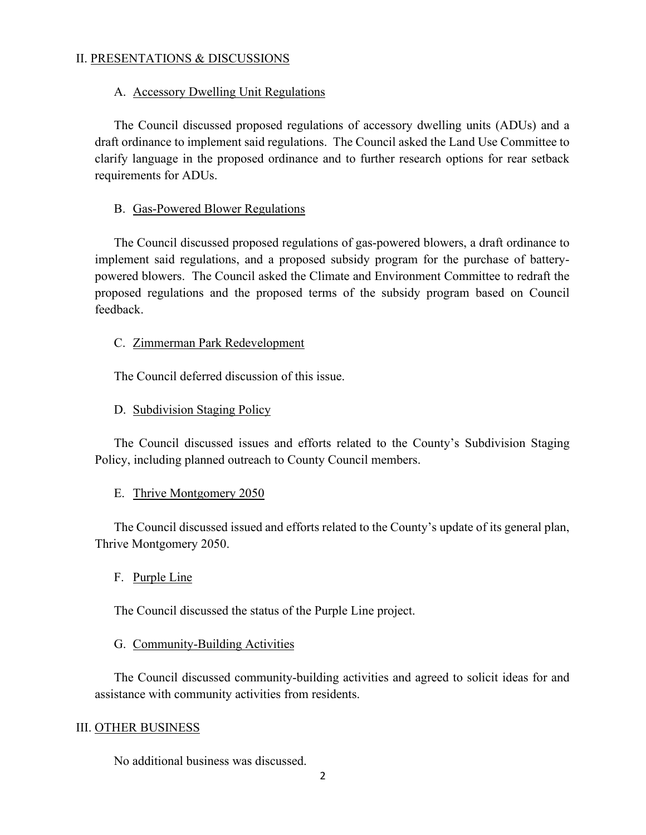## II. PRESENTATIONS & DISCUSSIONS

#### A. Accessory Dwelling Unit Regulations

The Council discussed proposed regulations of accessory dwelling units (ADUs) and a draft ordinance to implement said regulations. The Council asked the Land Use Committee to clarify language in the proposed ordinance and to further research options for rear setback requirements for ADUs.

#### B. Gas-Powered Blower Regulations

The Council discussed proposed regulations of gas-powered blowers, a draft ordinance to implement said regulations, and a proposed subsidy program for the purchase of batterypowered blowers. The Council asked the Climate and Environment Committee to redraft the proposed regulations and the proposed terms of the subsidy program based on Council feedback.

#### C. Zimmerman Park Redevelopment

The Council deferred discussion of this issue.

#### D. Subdivision Staging Policy

The Council discussed issues and efforts related to the County's Subdivision Staging Policy, including planned outreach to County Council members.

#### E. Thrive Montgomery 2050

The Council discussed issued and efforts related to the County's update of its general plan, Thrive Montgomery 2050.

#### F. Purple Line

The Council discussed the status of the Purple Line project.

#### G. Community-Building Activities

The Council discussed community-building activities and agreed to solicit ideas for and assistance with community activities from residents.

#### III. OTHER BUSINESS

No additional business was discussed.